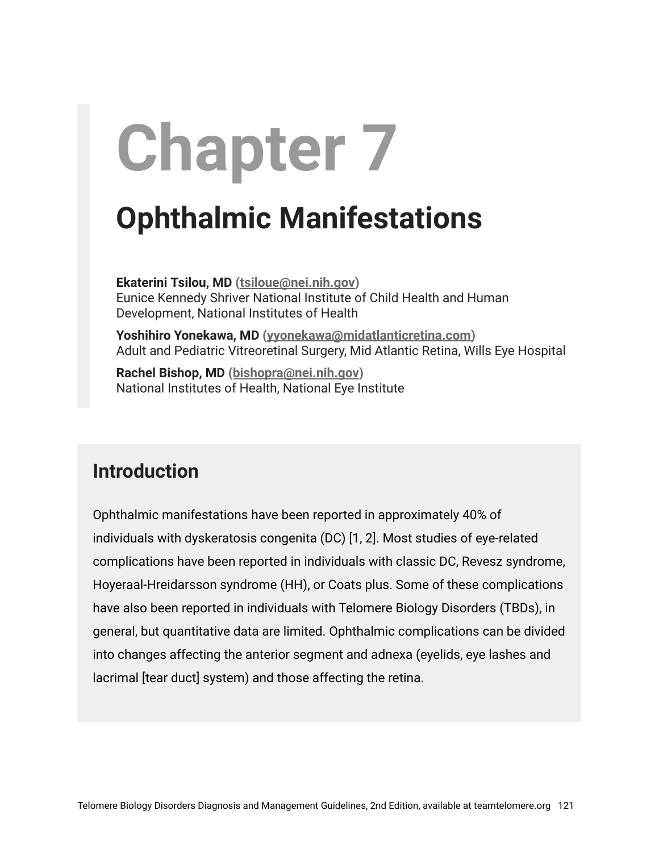# **Chapter 7**

## **Ophthalmic Manifestations**

**Ekaterini Tsilou, MD [\(tsiloue@nei.nih.gov\)](mailto:tsiloue@nei.nih.gov)** Eunice Kennedy Shriver National Institute of Child Health and Human Development, National Institutes of Health

**Yoshihiro Yonekawa, MD [\(yyonekawa@midatlanticretina.com\)](mailto:yyonekawa@midatlanticretina.com)** Adult and Pediatric Vitreoretinal Surgery, Mid Atlantic Retina, Wills Eye Hospital

**Rachel Bishop, MD ([bishopra@nei.nih.gov\)](mailto:bishopra@nei.nih.gov)** National Institutes of Health, National Eye Institute

#### **Introduction**

Ophthalmic manifestations have been reported in approximately 40% of individuals with dyskeratosis congenita (DC) [1, 2]. Most studies of eye-related complications have been reported in individuals with classic DC, Revesz syndrome, Hoyeraal-Hreidarsson syndrome (HH), or Coats plus. Some of these complications have also been reported in individuals with Telomere Biology Disorders (TBDs), in general, but quantitative data are limited. Ophthalmic complications can be divided into changes affecting the anterior segment and adnexa (eyelids, eye lashes and lacrimal [tear duct] system) and those affecting the retina.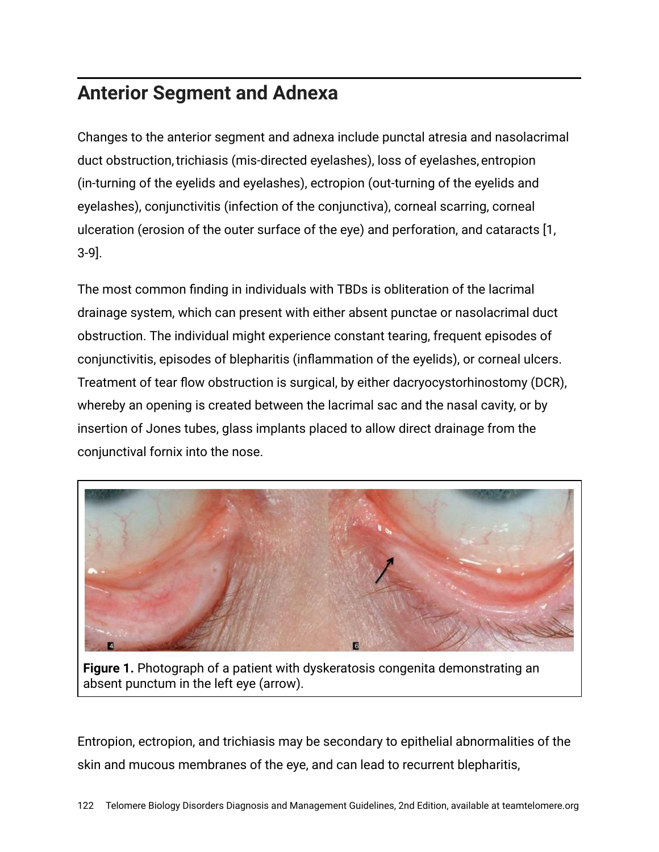#### **Anterior Segment and Adnexa**

Changes to the anterior segment and adnexa include punctal atresia and nasolacrimal duct obstruction, trichiasis (mis-directed eyelashes), loss of eyelashes, entropion (in-turning of the eyelids and eyelashes), ectropion (out-turning of the eyelids and eyelashes), conjunctivitis (infection of the conjunctiva), corneal scarring, corneal ulceration (erosion of the outer surface of the eye) and perforation, and cataracts [1, 3-9].

The most common finding in individuals with TBDs is obliteration of the lacrimal drainage system, which can present with either absent punctae or nasolacrimal duct obstruction. The individual might experience constant tearing, frequent episodes of conjunctivitis, episodes of blepharitis (inflammation of the eyelids), or corneal ulcers. Treatment of tear flow obstruction is surgical, by either dacryocystorhinostomy (DCR), whereby an opening is created between the lacrimal sac and the nasal cavity, or by insertion of Jones tubes, glass implants placed to allow direct drainage from the conjunctival fornix into the nose.



**Figure 1.** Photograph of a patient with dyskeratosis congenita demonstrating an absent punctum in the left eye (arrow).

Entropion, ectropion, and trichiasis may be secondary to epithelial abnormalities of the skin and mucous membranes of the eye, and can lead to recurrent blepharitis,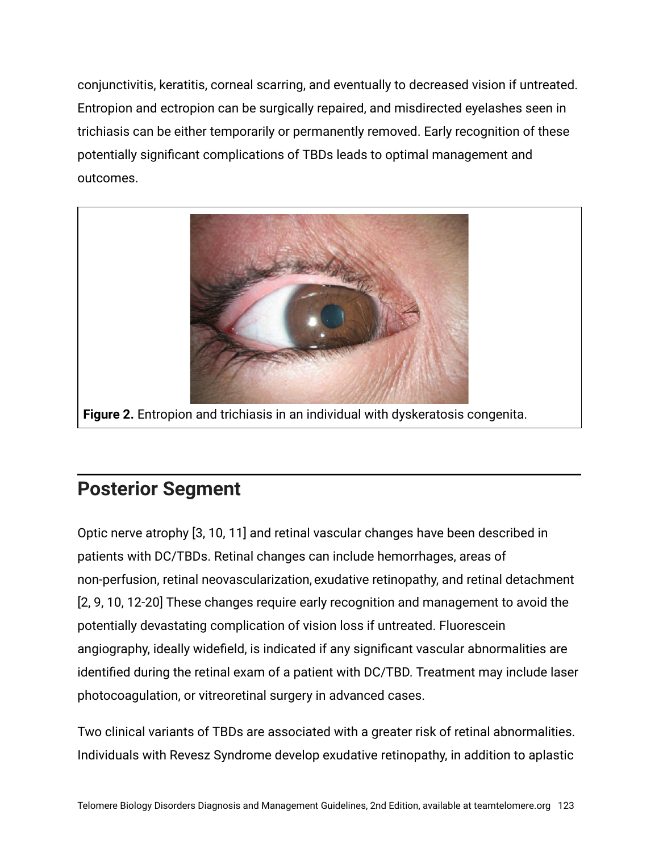conjunctivitis, keratitis, corneal scarring, and eventually to decreased vision if untreated. Entropion and ectropion can be surgically repaired, and misdirected eyelashes seen in trichiasis can be either temporarily or permanently removed. Early recognition of these potentially significant complications of TBDs leads to optimal management and outcomes.



#### **Posterior Segment**

Optic nerve atrophy [3, 10, 11] and retinal vascular changes have been described in patients with DC/TBDs. Retinal changes can include hemorrhages, areas of non-perfusion, retinal neovascularization, exudative retinopathy, and retinal detachment [2, 9, 10, 12-20] These changes require early recognition and management to avoid the potentially devastating complication of vision loss if untreated. Fluorescein angiography, ideally widefield, is indicated if any significant vascular abnormalities are identified during the retinal exam of a patient with DC/TBD. Treatment may include laser photocoagulation, or vitreoretinal surgery in advanced cases.

Two clinical variants of TBDs are associated with a greater risk of retinal abnormalities. Individuals with Revesz Syndrome develop exudative retinopathy, in addition to aplastic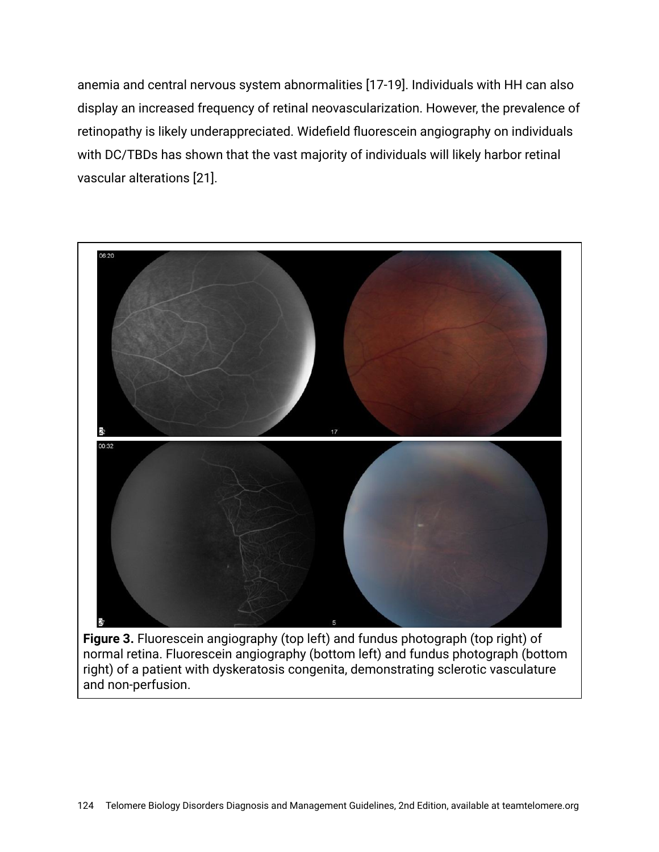anemia and central nervous system abnormalities [17-19]. Individuals with HH can also display an increased frequency of retinal neovascularization. However, the prevalence of retinopathy is likely underappreciated. Widefield fluorescein angiography on individuals with DC/TBDs has shown that the vast majority of individuals will likely harbor retinal vascular alterations [21].



**Figure 3.** Fluorescein angiography (top left) and fundus photograph (top right) of normal retina. Fluorescein angiography (bottom left) and fundus photograph (bottom right) of a patient with dyskeratosis congenita, demonstrating sclerotic vasculature and non-perfusion.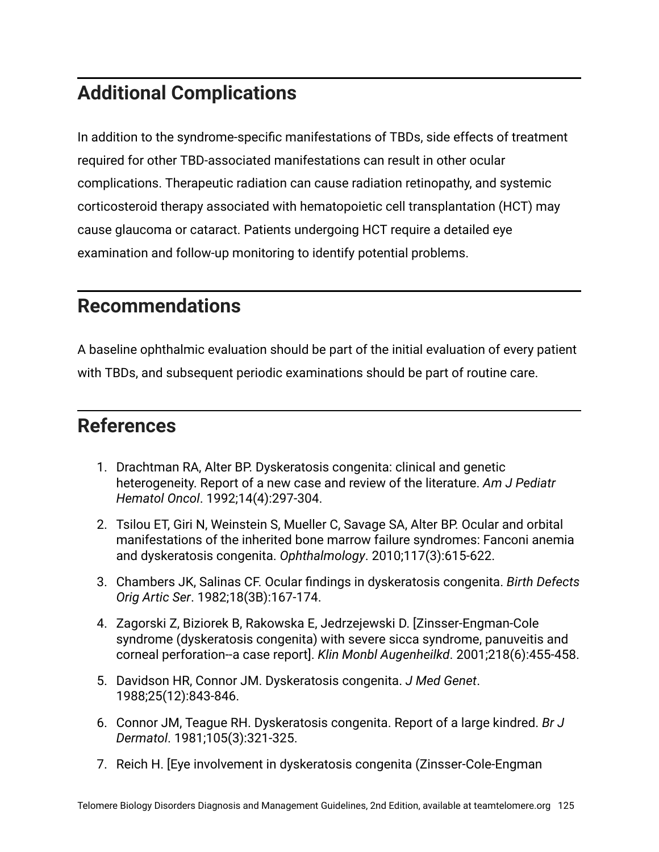### **Additional Complications**

In addition to the syndrome-specific manifestations of TBDs, side effects of treatment required for other TBD-associated manifestations can result in other ocular complications. Therapeutic radiation can cause radiation retinopathy, and systemic corticosteroid therapy associated with hematopoietic cell transplantation (HCT) may cause glaucoma or cataract. Patients undergoing HCT require a detailed eye examination and follow-up monitoring to identify potential problems.

#### **Recommendations**

A baseline ophthalmic evaluation should be part of the initial evaluation of every patient with TBDs, and subsequent periodic examinations should be part of routine care.

#### **References**

- 1. Drachtman RA, Alter BP. Dyskeratosis congenita: clinical and genetic heterogeneity. Report of a new case and review of the literature. *Am J Pediatr Hematol Oncol*. 1992;14(4):297-304.
- 2. Tsilou ET, Giri N, Weinstein S, Mueller C, Savage SA, Alter BP. Ocular and orbital manifestations of the inherited bone marrow failure syndromes: Fanconi anemia and dyskeratosis congenita. *Ophthalmology*. 2010;117(3):615-622.
- 3. Chambers JK, Salinas CF. Ocular findings in dyskeratosis congenita. *Birth Defects Orig Artic Ser*. 1982;18(3B):167-174.
- 4. Zagorski Z, Biziorek B, Rakowska E, Jedrzejewski D. [Zinsser-Engman-Cole syndrome (dyskeratosis congenita) with severe sicca syndrome, panuveitis and corneal perforation--a case report]. *Klin Monbl Augenheilkd*. 2001;218(6):455-458.
- 5. Davidson HR, Connor JM. Dyskeratosis congenita. *J Med Genet*. 1988;25(12):843-846.
- 6. Connor JM, Teague RH. Dyskeratosis congenita. Report of a large kindred. *Br J Dermatol*. 1981;105(3):321-325.
- 7. Reich H. [Eye involvement in dyskeratosis congenita (Zinsser-Cole-Engman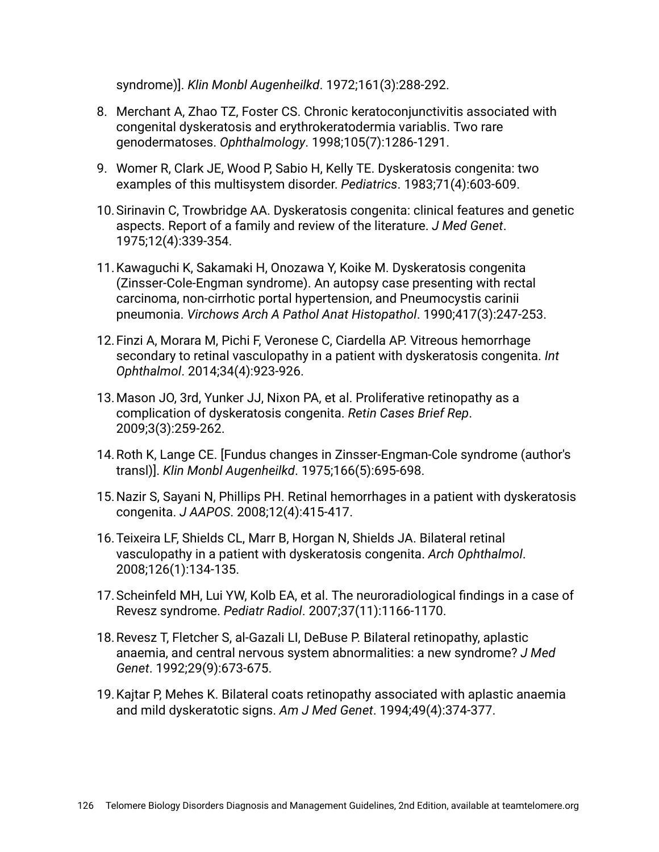syndrome)]. *Klin Monbl Augenheilkd*. 1972;161(3):288-292.

- 8. Merchant A, Zhao TZ, Foster CS. Chronic keratoconjunctivitis associated with congenital dyskeratosis and erythrokeratodermia variablis. Two rare genodermatoses. *Ophthalmology*. 1998;105(7):1286-1291.
- 9. Womer R, Clark JE, Wood P, Sabio H, Kelly TE. Dyskeratosis congenita: two examples of this multisystem disorder. *Pediatrics*. 1983;71(4):603-609.
- 10.Sirinavin C, Trowbridge AA. Dyskeratosis congenita: clinical features and genetic aspects. Report of a family and review of the literature. *J Med Genet*. 1975;12(4):339-354.
- 11.Kawaguchi K, Sakamaki H, Onozawa Y, Koike M. Dyskeratosis congenita (Zinsser-Cole-Engman syndrome). An autopsy case presenting with rectal carcinoma, non-cirrhotic portal hypertension, and Pneumocystis carinii pneumonia. *Virchows Arch A Pathol Anat Histopathol*. 1990;417(3):247-253.
- 12.Finzi A, Morara M, Pichi F, Veronese C, Ciardella AP. Vitreous hemorrhage secondary to retinal vasculopathy in a patient with dyskeratosis congenita. *Int Ophthalmol*. 2014;34(4):923-926.
- 13.Mason JO, 3rd, Yunker JJ, Nixon PA, et al. Proliferative retinopathy as a complication of dyskeratosis congenita. *Retin Cases Brief Rep*. 2009;3(3):259-262.
- 14.Roth K, Lange CE. [Fundus changes in Zinsser-Engman-Cole syndrome (author's transl)]. *Klin Monbl Augenheilkd*. 1975;166(5):695-698.
- 15.Nazir S, Sayani N, Phillips PH. Retinal hemorrhages in a patient with dyskeratosis congenita. *J AAPOS*. 2008;12(4):415-417.
- 16.Teixeira LF, Shields CL, Marr B, Horgan N, Shields JA. Bilateral retinal vasculopathy in a patient with dyskeratosis congenita. *Arch Ophthalmol*. 2008;126(1):134-135.
- 17.Scheinfeld MH, Lui YW, Kolb EA, et al. The neuroradiological findings in a case of Revesz syndrome. *Pediatr Radiol*. 2007;37(11):1166-1170.
- 18.Revesz T, Fletcher S, al-Gazali LI, DeBuse P. Bilateral retinopathy, aplastic anaemia, and central nervous system abnormalities: a new syndrome? *J Med Genet*. 1992;29(9):673-675.
- 19.Kajtar P, Mehes K. Bilateral coats retinopathy associated with aplastic anaemia and mild dyskeratotic signs. *Am J Med Genet*. 1994;49(4):374-377.